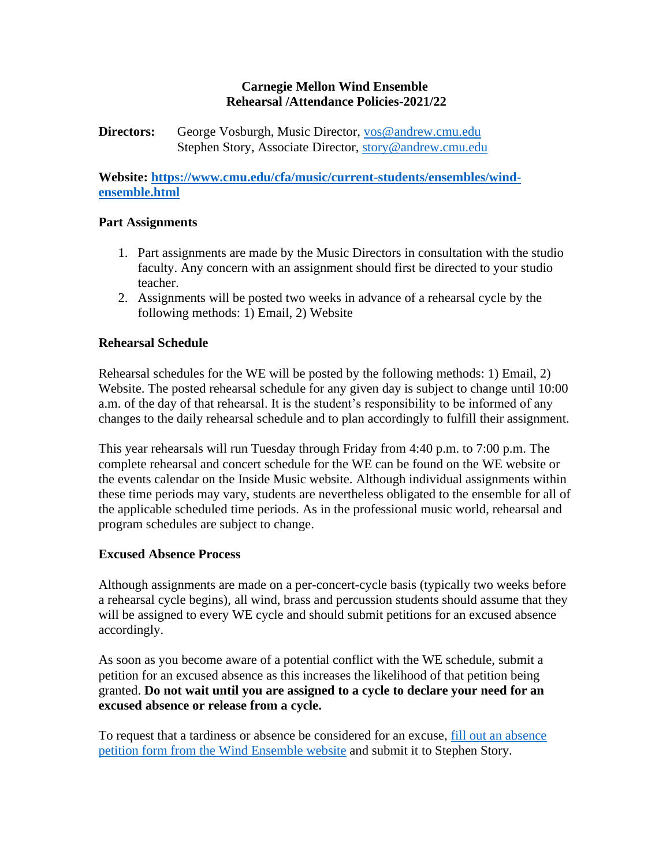## **Carnegie Mellon Wind Ensemble Rehearsal /Attendance Policies-2021/22**

## **Directors:** George Vosburgh, Music Director, [vos@andrew.cmu.edu](mailto:vos@andrew.cmu.edu) Stephen Story, Associate Director, [story@andrew.cmu.edu](mailto:story@andrew.cmu.edu)

**Website: [https://www.cmu.edu/cfa/music/current-students/ensembles/wind](https://www.cmu.edu/cfa/music/current-students/ensembles/wind-ensemble.html)[ensemble.html](https://www.cmu.edu/cfa/music/current-students/ensembles/wind-ensemble.html)**

## **Part Assignments**

- 1. Part assignments are made by the Music Directors in consultation with the studio faculty. Any concern with an assignment should first be directed to your studio teacher.
- 2. Assignments will be posted two weeks in advance of a rehearsal cycle by the following methods: 1) Email, 2) Website

# **Rehearsal Schedule**

Rehearsal schedules for the WE will be posted by the following methods: 1) Email, 2) Website. The posted rehearsal schedule for any given day is subject to change until 10:00 a.m. of the day of that rehearsal. It is the student's responsibility to be informed of any changes to the daily rehearsal schedule and to plan accordingly to fulfill their assignment.

This year rehearsals will run Tuesday through Friday from 4:40 p.m. to 7:00 p.m. The complete rehearsal and concert schedule for the WE can be found on the WE website or the events calendar on the Inside Music website. Although individual assignments within these time periods may vary, students are nevertheless obligated to the ensemble for all of the applicable scheduled time periods. As in the professional music world, rehearsal and program schedules are subject to change.

#### **Excused Absence Process**

Although assignments are made on a per-concert-cycle basis (typically two weeks before a rehearsal cycle begins), all wind, brass and percussion students should assume that they will be assigned to every WE cycle and should submit petitions for an excused absence accordingly.

As soon as you become aware of a potential conflict with the WE schedule, submit a petition for an excused absence as this increases the likelihood of that petition being granted. **Do not wait until you are assigned to a cycle to declare your need for an excused absence or release from a cycle.**

To request that a tardiness or absence be considered for an excuse, [fill out an absence](https://www.cmu.edu/cfa/music/pdf-documents/academic-documents/ensembles/WEpetitionexcusedabsence.pdf)  [petition form from the Wind Ensemble website](https://www.cmu.edu/cfa/music/pdf-documents/academic-documents/ensembles/WEpetitionexcusedabsence.pdf) and submit it to Stephen Story.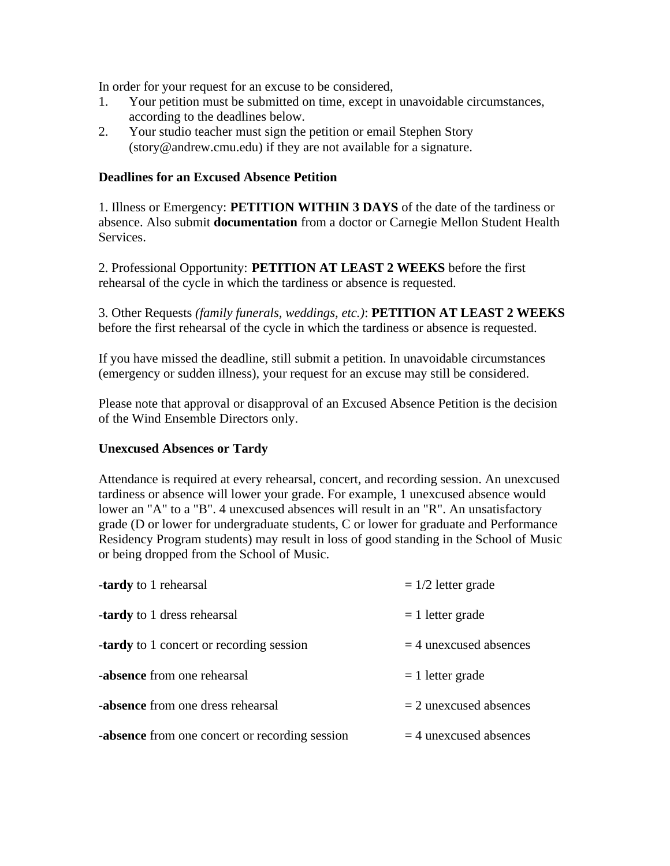In order for your request for an excuse to be considered,

- 1. Your petition must be submitted on time, except in unavoidable circumstances, according to the deadlines below.
- 2. Your studio teacher must sign the petition or email Stephen Story (story@andrew.cmu.edu) if they are not available for a signature.

#### **Deadlines for an Excused Absence Petition**

1. Illness or Emergency: **PETITION WITHIN 3 DAYS** of the date of the tardiness or absence. Also submit **documentation** from a doctor or Carnegie Mellon Student Health Services.

2. Professional Opportunity: **PETITION AT LEAST 2 WEEKS** before the first rehearsal of the cycle in which the tardiness or absence is requested.

3. Other Requests *(family funerals, weddings, etc.)*: **PETITION AT LEAST 2 WEEKS**  before the first rehearsal of the cycle in which the tardiness or absence is requested.

If you have missed the deadline, still submit a petition. In unavoidable circumstances (emergency or sudden illness), your request for an excuse may still be considered.

Please note that approval or disapproval of an Excused Absence Petition is the decision of the Wind Ensemble Directors only.

#### **Unexcused Absences or Tardy**

Attendance is required at every rehearsal, concert, and recording session. An unexcused tardiness or absence will lower your grade. For example, 1 unexcused absence would lower an "A" to a "B". 4 unexcused absences will result in an "R". An unsatisfactory grade (D or lower for undergraduate students, C or lower for graduate and Performance Residency Program students) may result in loss of good standing in the School of Music or being dropped from the School of Music.

| <b>-tardy</b> to 1 rehearsal                          | $= 1/2$ letter grade     |
|-------------------------------------------------------|--------------------------|
| <b>-tardy</b> to 1 dress rehearsal                    | $= 1$ letter grade       |
| <b>-tardy</b> to 1 concert or recording session       | $=$ 4 unexcused absences |
| -absence from one rehearsal                           | $= 1$ letter grade       |
| <b>-absence</b> from one dress rehearsal              | $=$ 2 unexcused absences |
| <b>-absence</b> from one concert or recording session | $=$ 4 unexcused absences |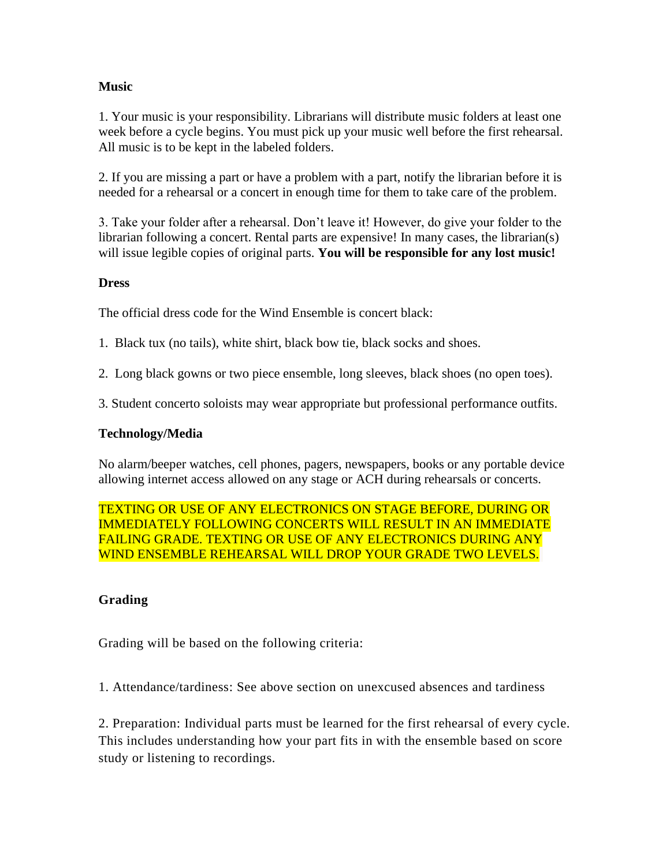## **Music**

1. Your music is your responsibility. Librarians will distribute music folders at least one week before a cycle begins. You must pick up your music well before the first rehearsal. All music is to be kept in the labeled folders.

2. If you are missing a part or have a problem with a part, notify the librarian before it is needed for a rehearsal or a concert in enough time for them to take care of the problem.

3. Take your folder after a rehearsal. Don't leave it! However, do give your folder to the librarian following a concert. Rental parts are expensive! In many cases, the librarian(s) will issue legible copies of original parts. **You will be responsible for any lost music!**

#### **Dress**

The official dress code for the Wind Ensemble is concert black:

1. Black tux (no tails), white shirt, black bow tie, black socks and shoes.

2. Long black gowns or two piece ensemble, long sleeves, black shoes (no open toes).

3. Student concerto soloists may wear appropriate but professional performance outfits.

#### **Technology/Media**

No alarm/beeper watches, cell phones, pagers, newspapers, books or any portable device allowing internet access allowed on any stage or ACH during rehearsals or concerts.

TEXTING OR USE OF ANY ELECTRONICS ON STAGE BEFORE, DURING OR IMMEDIATELY FOLLOWING CONCERTS WILL RESULT IN AN IMMEDIATE FAILING GRADE. TEXTING OR USE OF ANY ELECTRONICS DURING ANY WIND ENSEMBLE REHEARSAL WILL DROP YOUR GRADE TWO LEVELS.

#### **Grading**

Grading will be based on the following criteria:

1. Attendance/tardiness: See above section on unexcused absences and tardiness

2. Preparation: Individual parts must be learned for the first rehearsal of every cycle. This includes understanding how your part fits in with the ensemble based on score study or listening to recordings.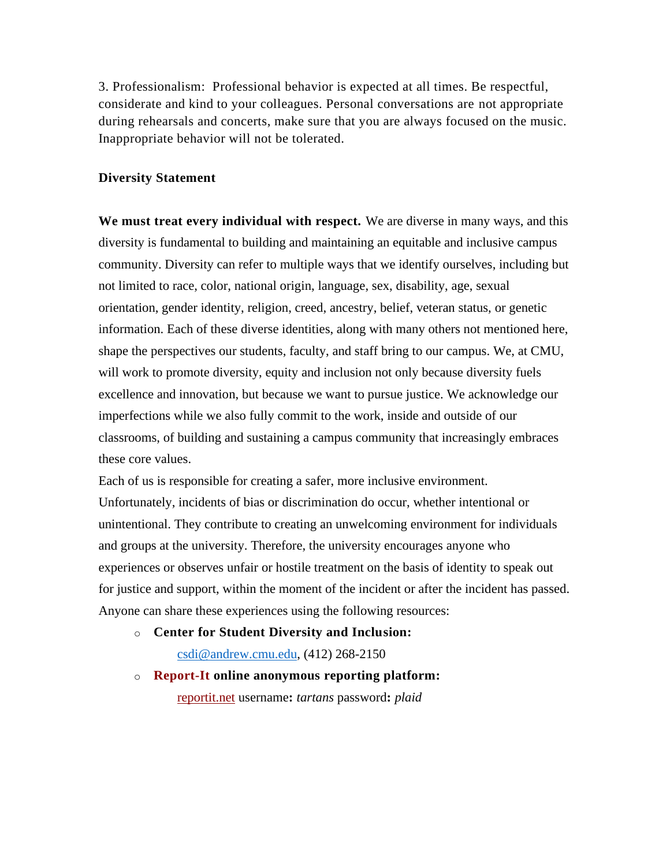3. Professionalism: Professional behavior is expected at all times. Be respectful, considerate and kind to your colleagues. Personal conversations are not appropriate during rehearsals and concerts, make sure that you are always focused on the music. Inappropriate behavior will not be tolerated.

#### **Diversity Statement**

**We must treat every individual with respect.** We are diverse in many ways, and this diversity is fundamental to building and maintaining an equitable and inclusive campus community. Diversity can refer to multiple ways that we identify ourselves, including but not limited to race, color, national origin, language, sex, disability, age, sexual orientation, gender identity, religion, creed, ancestry, belief, veteran status, or genetic information. Each of these diverse identities, along with many others not mentioned here, shape the perspectives our students, faculty, and staff bring to our campus. We, at CMU, will work to promote diversity, equity and inclusion not only because diversity fuels excellence and innovation, but because we want to pursue justice. We acknowledge our imperfections while we also fully commit to the work, inside and outside of our classrooms, of building and sustaining a campus community that increasingly embraces these core values.

Each of us is responsible for creating a safer, more inclusive environment. Unfortunately, incidents of bias or discrimination do occur, whether intentional or unintentional. They contribute to creating an unwelcoming environment for individuals and groups at the university. Therefore, the university encourages anyone who experiences or observes unfair or hostile treatment on the basis of identity to speak out for justice and support, within the moment of the incident or after the incident has passed. Anyone can share these experiences using the following resources:

o **Center for Student Diversity and Inclusion:**

[csdi@andrew.cmu.edu,](mailto:csdi@andrew.cmu.edu) (412) 268-2150

o **[Report-It](http://www.reportit.net/) online anonymous reporting platform:** [reportit.net](http://www.reportit.net/) username**:** *tartans* password**:** *plaid*